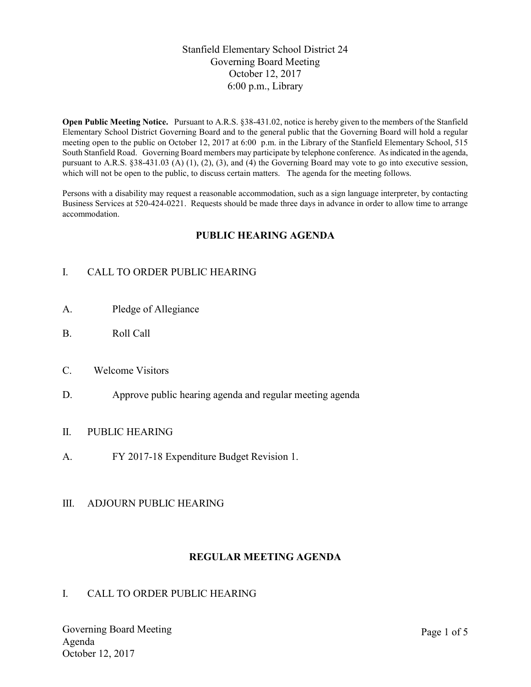# Stanfield Elementary School District 24 Governing Board Meeting October 12, 2017 6:00 p.m., Library

Open Public Meeting Notice. Pursuant to A.R.S. §38-431.02, notice is hereby given to the members of the Stanfield Elementary School District Governing Board and to the general public that the Governing Board will hold a regular meeting open to the public on October 12, 2017 at 6:00 p.m. in the Library of the Stanfield Elementary School, 515 South Stanfield Road. Governing Board members may participate by telephone conference. As indicated in the agenda, pursuant to A.R.S. §38-431.03 (A) (1), (2), (3), and (4) the Governing Board may vote to go into executive session, which will not be open to the public, to discuss certain matters. The agenda for the meeting follows.

Persons with a disability may request a reasonable accommodation, such as a sign language interpreter, by contacting Business Services at 520-424-0221. Requests should be made three days in advance in order to allow time to arrange accommodation.

# PUBLIC HEARING AGENDA

# I. CALL TO ORDER PUBLIC HEARING

- A. Pledge of Allegiance
- B. Roll Call
- C. Welcome Visitors
- D. Approve public hearing agenda and regular meeting agenda

## II. PUBLIC HEARING

A. FY 2017-18 Expenditure Budget Revision 1.

## III. ADJOURN PUBLIC HEARING

## REGULAR MEETING AGENDA

## I. CALL TO ORDER PUBLIC HEARING

Governing Board Meeting Agenda October 12, 2017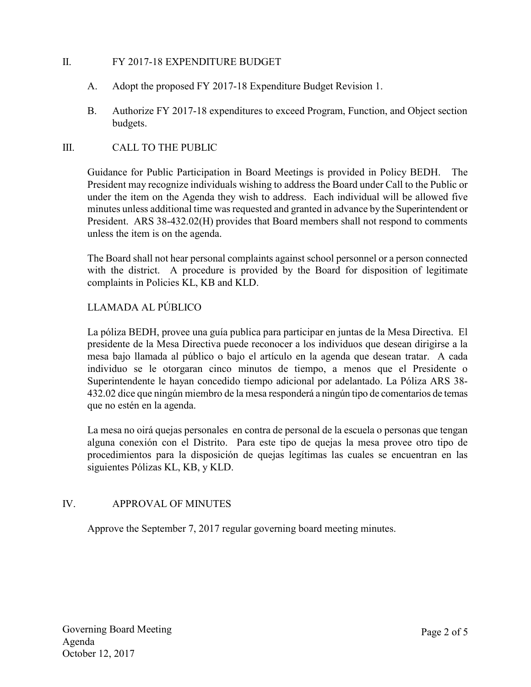# II. FY 2017-18 EXPENDITURE BUDGET

- A. Adopt the proposed FY 2017-18 Expenditure Budget Revision 1.
- B. Authorize FY 2017-18 expenditures to exceed Program, Function, and Object section budgets.

## III. CALL TO THE PUBLIC

Guidance for Public Participation in Board Meetings is provided in Policy BEDH. The President may recognize individuals wishing to address the Board under Call to the Public or under the item on the Agenda they wish to address. Each individual will be allowed five minutes unless additional time was requested and granted in advance by the Superintendent or President. ARS 38-432.02(H) provides that Board members shall not respond to comments unless the item is on the agenda.

The Board shall not hear personal complaints against school personnel or a person connected with the district. A procedure is provided by the Board for disposition of legitimate complaints in Policies KL, KB and KLD.

# LLAMADA AL PÚBLICO

La póliza BEDH, provee una guía publica para participar en juntas de la Mesa Directiva. El presidente de la Mesa Directiva puede reconocer a los individuos que desean dirigirse a la mesa bajo llamada al público o bajo el artículo en la agenda que desean tratar. A cada individuo se le otorgaran cinco minutos de tiempo, a menos que el Presidente o Superintendente le hayan concedido tiempo adicional por adelantado. La Póliza ARS 38- 432.02 dice que ningún miembro de la mesa responderá a ningún tipo de comentarios de temas que no estén en la agenda.

La mesa no oirá quejas personales en contra de personal de la escuela o personas que tengan alguna conexión con el Distrito. Para este tipo de quejas la mesa provee otro tipo de procedimientos para la disposición de quejas legítimas las cuales se encuentran en las siguientes Pólizas KL, KB, y KLD.

# IV. APPROVAL OF MINUTES

Approve the September 7, 2017 regular governing board meeting minutes.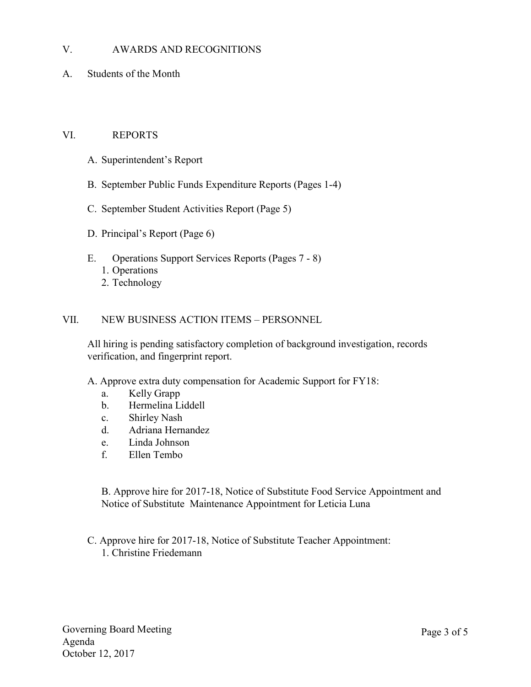## V. AWARDS AND RECOGNITIONS

A. Students of the Month

#### VI. REPORTS

- A. Superintendent's Report
- B. September Public Funds Expenditure Reports (Pages 1-4)
- C. September Student Activities Report (Page 5)
- D. Principal's Report (Page 6)
- E. Operations Support Services Reports (Pages 7 8) 1. Operations 2. Technology

#### VII. NEW BUSINESS ACTION ITEMS – PERSONNEL

All hiring is pending satisfactory completion of background investigation, records verification, and fingerprint report.

A. Approve extra duty compensation for Academic Support for FY18:

- a. Kelly Grapp
- b. Hermelina Liddell
- c. Shirley Nash
- d. Adriana Hernandez
- e. Linda Johnson
- f. Ellen Tembo

B. Approve hire for 2017-18, Notice of Substitute Food Service Appointment and Notice of Substitute Maintenance Appointment for Leticia Luna

 C. Approve hire for 2017-18, Notice of Substitute Teacher Appointment: 1. Christine Friedemann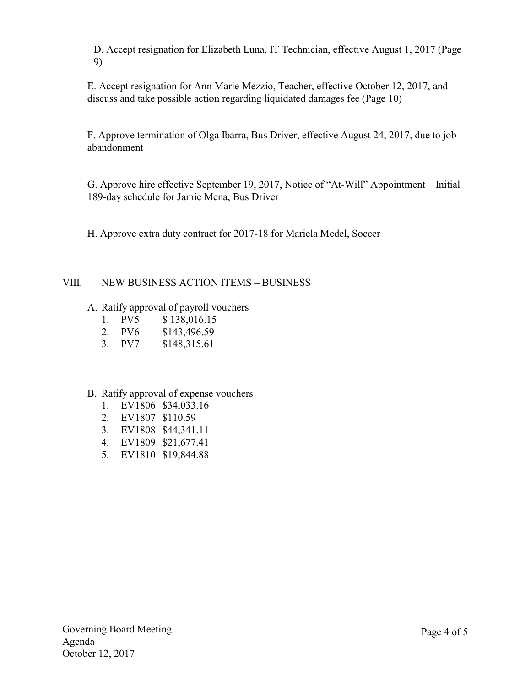D. Accept resignation for Elizabeth Luna, IT Technician, effective August 1, 2017 (Page 9)

E. Accept resignation for Ann Marie Mezzio, Teacher, effective October 12, 2017, and discuss and take possible action regarding liquidated damages fee (Page 10)

F. Approve termination of Olga Ibarra, Bus Driver, effective August 24, 2017, due to job abandonment

G. Approve hire effective September 19, 2017, Notice of "At-Will" Appointment – Initial 189-day schedule for Jamie Mena, Bus Driver

H. Approve extra duty contract for 2017-18 for Mariela Medel, Soccer

## VIII. NEW BUSINESS ACTION ITEMS – BUSINESS

- A. Ratify approval of payroll vouchers
	- 1. PV5 \$ 138,016.15
	- 2. PV6 \$143,496.59
	- 3. PV7 \$148,315.61

## B. Ratify approval of expense vouchers

- 1. EV1806 \$34,033.16
- 2. EV1807 \$110.59
- 3. EV1808 \$44,341.11
- 4. EV1809 \$21,677.41
- 5. EV1810 \$19,844.88